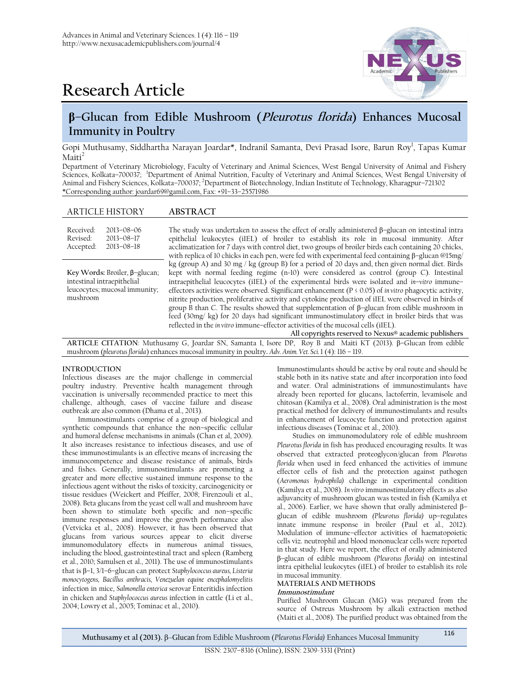

# **Research Article**

# **β–Glucan from Edible Mushroom (Pleurotus florida) Enhances Mucosal Immunity in Poultry**

Gopi Muthusamy, Siddhartha Narayan Joardar\*, Indranil Samanta, Devi Prasad Isore, Barun Roy<sup>1</sup>, Tapas Kumar  $M$ aiti<sup>2</sup>

Department of Veterinary Microbiology, Faculty of Veterinary and Animal Sciences, West Bengal University of Animal and Fishery Sciences, Kolkata–700037; <sup>1</sup>Department of Animal Nutrition, Faculty of Veterinary and Animal Sciences, West Bengal University of Animal and Fishery Sciences, Kolkata–700037; <sup>2</sup>Department of Biotechnology, Indian Institute of Technology, Kharagpur–721302 \*Corresponding author: [joardar69@gamil.com,](mailto:joardar69@gamil.com) Fax: +91–33–25571986

# ARTICLE HISTORY **ABSTRACT**

| Received:<br>Revised:<br>Accepted:                                                                       | $2013 - 08 - 06$<br>$2013 - 08 - 17$<br>$2013 - 08 - 18$ | The study was undertaken to assess the effect of orally administered $\beta$ -glucan on intestinal intra<br>epithelial leukocytes (iIEL) of broiler to establish its role in mucosal immunity. After<br>acclimatization for 7 days with control diet, two groups of broiler birds each containing 20 chicks,<br>with replica of 10 chicks in each pen, were fed with experimental feed containing $\beta$ -glucan @15mg/                                                                                                                                                                                                                                                                                                                                                                                                                         |
|----------------------------------------------------------------------------------------------------------|----------------------------------------------------------|--------------------------------------------------------------------------------------------------------------------------------------------------------------------------------------------------------------------------------------------------------------------------------------------------------------------------------------------------------------------------------------------------------------------------------------------------------------------------------------------------------------------------------------------------------------------------------------------------------------------------------------------------------------------------------------------------------------------------------------------------------------------------------------------------------------------------------------------------|
| Key Words: Broiler, β-glucan;<br>intestinal intraepithelial<br>leucocytes; mucosal immunity;<br>mushroom |                                                          | kg (group A) and 30 mg / kg (group B) for a period of 20 days and, then given normal diet. Birds<br>kept with normal feeding regime (n=10) were considered as control (group C). Intestinal<br>intraepithelial leucocytes (iIEL) of the experimental birds were isolated and <i>in-vitro</i> immune-<br>effectors activities were observed. Significant enhancement ( $P \le 0.05$ ) of <i>in vitro</i> phagocytic activity,<br>nitrite production, proliferative activity and cytokine production of iIEL were observed in birds of<br>group B than C. The results showed that supplementation of $\beta$ -glucan from edible mushroom in<br>feed (30mg/ kg) for 20 days had significant immunostimulatory effect in broiler birds that was<br>reflected in the <i>in vitro</i> immune-effector activities of the mucosal cells <i>(iIEL)</i> . |

**All copyrights reserved to Nexus® academic publishers ARTICLE CITATION**: Muthusamy G, Joardar SN, Samanta I, Isore DP, Roy B and Maiti KT (2013). β–Glucan from edible mushroom (*pleurotus florida*) enhances mucosal immunity in poultry**.** *Adv. Anim. Vet. Sci.* 1 (4): 116 – 119.

#### **INTRODUCTION**

Infectious diseases are the major challenge in commercial poultry industry. Preventive health management through vaccination is universally recommended practice to meet this challenge, although, cases of vaccine failure and disease outbreak are also common (Dhama et al., 2013).

Immunostimulants comprise of a group of biological and synthetic compounds that enhance the non–specific cellular and humoral defense mechanisms in animals (Chan et al, 2009). It also increases resistance to infectious diseases, and use of these immunostimulants is an effective means of increasing the immunocompetence and disease resistance of animals, birds and fishes. Generally, immunostimulants are promoting a greater and more effective sustained immune response to the infectious agent without the risks of toxicity, carcinogenicity or tissue residues (Weickert and Pfeiffer, 2008; Firenzouli et al., 2008). Beta glucans from the yeast cell wall and mushroom have been shown to stimulate both specific and non–specific immune responses and improve the growth performance also (Vetvicka et al., 2008). However, it has been observed that glucans from various sources appear to elicit diverse immunomodulatory effects in numerous animal tissues, including the blood, gastrointestinal tract and spleen (Ramberg et al., 2010; Samulsen et al., 2011). The use of immunostimulants that is β–1, 3/1–6–glucan can protect *Staphylococcus aureus, Listeria monocytogens, Bacillus anthracis, Venezuelan equine encephalomyelitis*  infection in mice, *Salmonella enterica* serovar Enteritidis infection in chicken and *Staphylococcus aureus* infection in cattle (Li et al., 2004; Lowry et al., 2005; Tominac et al., 2010).

Immunostimulants should be active by oral route and should be stable both in its native state and after incorporation into food and water. Oral administrations of immunostimulants have already been reported for glucans, lactoferrin, levamisole and chitosan (Kamilya et al., 2008). Oral administration is the most practical method for delivery of immunostimulants and results in enhancement of leucocyte function and protection against infectious diseases (Tominac et al., 2010).

Studies on immunomodulatory role of edible mushroom *Pleurotus florida* in fish has produced encouraging results. It was observed that extracted proteoglycon/glucan from *Pleurotus florida* when used in feed enhanced the activities of immune effector cells of fish and the protection against pathogen (*Aeromonas hydrophila)* challenge in experimental condition (Kamilya et al., 2008). *In vitro* immunostimulatory effects as also adjuvancity of mushroom glucan was tested in fish (Kamilya et al., 2006). Earlier, we have shown that orally administered  $β$ glucan of edible mushroom *(Pleurotus florida)* up–regulates innate immune response in broiler (Paul et al.,  $2012$ ). Modulation of immune–effector activities of haematopoietic cells viz. neutrophil and blood mononuclear cells were reported in that study. Here we report, the effect of orally administered β–glucan of edible mushroom *(Pleurotus florida)* on intestinal intra epithelial leukocytes (iIEL) of broiler to establish its role in mucosal immunity.

#### **MATERIALS AND METHODS Immunostimulant**

Purified Mushroom Glucan (MG) was prepared from the source of Ostreus Mushroom by alkali extraction method (Maiti et al., 2008). The purified product was obtained from the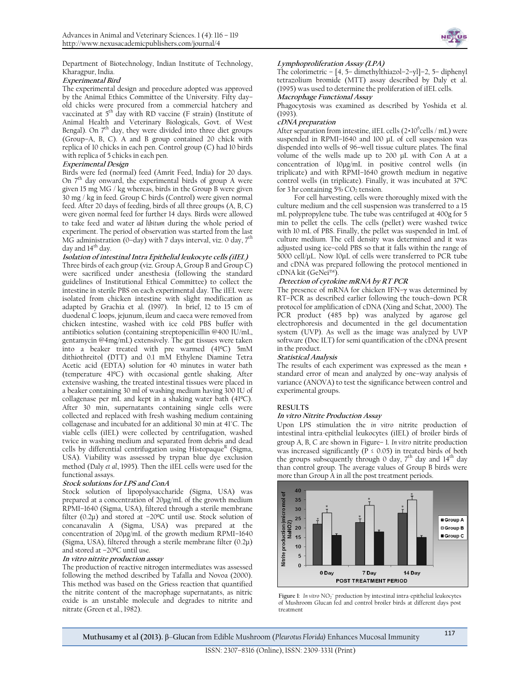Department of Biotechnology, Indian Institute of Technology, Kharagpur, India.

## **Experimental Bird**

The experimental design and procedure adopted was approved by the Animal Ethics Committee of the University. Fifty day– old chicks were procured from a commercial hatchery and vaccinated at  $5<sup>th</sup>$  day with RD vaccine (F strain) (Institute of Animal Health and Veterinary Biologicals, Govt. of West Bengal). On  $7<sup>th</sup>$  day, they were divided into three diet groups (Group–A, B, C). A and B group contained 20 chick with replica of 10 chicks in each pen. Control group (C) had 10 birds with replica of 5 chicks in each pen.

## **Experimental Design**

Birds were fed (normal) feed (Amrit Feed, India) for 20 days. On  $7<sup>th</sup>$  day onward, the experimental birds of group A were given 15 mg MG / kg whereas, birds in the Group B were given 30 mg / kg in feed. Group C birds (Control) were given normal feed. After 20 days of feeding, birds of all three groups (A, B, C) were given normal feed for further 14 days. Birds were allowed to take feed and water *ad libitum* during the whole period of experiment. The period of observation was started from the last MG administration (0–day) with 7 days interval, viz. 0 day,  $7<sup>th</sup>$ day and  $14<sup>th</sup>$  day.

**Isolation of intestinal Intra Epithelial leukocyte cells (iIEL)** Three birds of each group (viz. Group A, Group B and Group C) were sacrificed under anesthesia (following the standard guidelines of Institutional Ethical Committee) to collect the intestine in sterile PBS on each experimental day. The iIEL were isolated from chicken intestine with slight modification as adapted by Grachia et al. (1997). In brief, 12 to 15 cm of duodenal C loops, jejunum, ileum and caeca were removed from chicken intestine, washed with ice cold PBS buffer with antibiotics solution (containing streptopenicillin @400 IU/mL, gentamycin @4mg/mL) extensively. The gut tissues were taken into a beaker treated with pre warmed (41ºC) 5mM dithiothreitol (DTT) and 0.1 mM Ethylene Diamine Tetra Acetic acid (EDTA) solution for 40 minutes in water bath (temperature 41ºC) with occasional gentle shaking. After extensive washing, the treated intestinal tissues were placed in a beaker containing 30 ml of washing medium having 300 IU of collagenase per mL and kept in a shaking water bath (41ºC). After 30 min, supernatants containing single cells were collected and replaced with fresh washing medium containing collagenase and incubated for an additional 30 min at 41°C. The viable cells (iIEL) were collected by centrifugation, washed twice in washing medium and separated from debris and dead cells by differential centrifugation using Histopaque $^{\text{R}}$  (Sigma, USA). Viability was assessed by trypan blue dye exclusion method (Daly *et al.,* 1995). Then the iIEL cells were used for the functional assays.

#### **Stock solutions for LPS and ConA**

Stock solution of lipopolysaccharide (Sigma, USA) was prepared at a concentration of 20μg/mL of the growth medium RPMI–1640 (Sigma, USA), filtered through a sterile membrane filter (0.2μ) and stored at –20ºC until use. Stock solution of concanavalin A (Sigma, USA) was prepared at the concentration of 20μg/mL of the growth medium RPMI–1640 (Sigma, USA), filtered through a sterile membrane filter (0.2μ) and stored at –20ºC until use.

#### **In vitro nitrite production assay**

The production of reactive nitrogen intermediates was assessed following the method described by Tafalla and Novoa (2000). This method was based on the Griess reaction that quantified the nitrite content of the macrophage supernatants, as nitric oxide is an unstable molecule and degrades to nitrite and nitrate (Green et al., 1982).



## **Lymphoproliferation Assay (LPA)**

The colorimetric – [4, 5– dimethylthiazol–2–yl]–2, 5– diphenyl tetrazolium bromide (MTT) assay described by Daly et al. (1995) was used to determine the proliferation of iIEL cells.

# **Macrophage Functional Assay**

Phagocytosis was examined as described by Yoshida et al. (1993).

## **cDNA preparation**

After separation from intestine, iIEL cells (2×10<sup>6</sup>cells / mL) were suspended in RPMI–1640 and 100 μL of cell suspension was dispended into wells of 96–well tissue culture plates. The final volume of the wells made up to 200 μL with Con A at a concentration of 10μg/mL in positive control wells (in triplicate) and with RPMI–1640 growth medium in negative control wells (in triplicate). Finally, it was incubated at 37ºC for 3 hr containing 5%  $CO<sub>2</sub>$  tension.

 For cell harvesting, cells were thoroughly mixed with the culture medium and the cell suspension was transferred to a 15 mL polypropylene tube. The tube was centrifuged at 400g for 5 min to pellet the cells. The cells (pellet) were washed twice with 10 mL of PBS. Finally, the pellet was suspended in 1mL of culture medium. The cell density was determined and it was adjusted using ice–cold PBS so that it falls within the range of 5000 cell/µL. Now 10µL of cells were transferred to PCR tube and cDNA was prepared following the protocol mentioned in cDNA kit (GeNei™).

# **Detection of cytokine mRNA by RT PCR**

The presence of mRNA for chicken IFN–γ was determined by RT–PCR as described earlier following the touch–down PCR protocol for amplification of cDNA (Xing and Schat, 2000). The PCR product (485 bp) was analyzed by agarose gel electrophoresis and documented in the gel documentation system (UVP). As well as the image was analyzed by UVP software (Doc ILT) for semi quantification of the cDNA present in the product.

# **Statistical Analysis**

The results of each experiment was expressed as the mean ± standard error of mean and analyzed by one–way analysis of variance (ANOVA) to test the significance between control and experimental groups.

# **RESULTS**

# **In vitro Nitrite Production Assay**

Upon LPS stimulation the *in vitro* nitrite production of intestinal intra-epithelial leukocytes (iIEL) of broiler birds of group A, B, C are shown in Figure– 1. *In vitro* nitrite production was increased significantly ( $P \le 0.05$ ) in treated birds of both the groups subsequently through 0 day,  $7<sup>th</sup>$  day and  $14<sup>th</sup>$  day than control group. The average values of Group B birds were more than Group A in all the post treatment periods.



Figure 1: In vitro  $NO_2^-$  production by intestinal intra-epithelial leukocytes of Mushroom Glucan fed and control broiler birds at different days post treatment

**Muthusamy et al (2013).** β–Glucan from Edible Mushroom (*Pleurotus Florida)* Enhances Mucosal Immunity <sup>117</sup>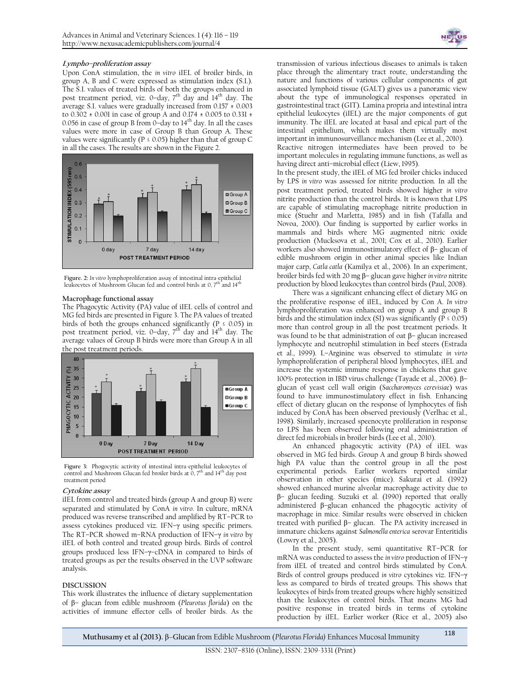## **Lympho–proliferation assay**

Upon ConA stimulation, the *in vitro* iIEL of broiler birds, in group A, B and C were expressed as stimulation index (S.I.). The S.I. values of treated birds of both the groups enhanced in post treatment period, viz. 0-day,  $7<sup>th</sup>$  day and  $14<sup>th</sup>$  day. The average S.I. values were gradually increased from 0.157 ± 0.003 to 0.302 ± 0.001 in case of group A and 0.174 ± 0.005 to 0.331 ± 0.056 in case of group B from  $0$ -day to  $14<sup>th</sup>$  day. In all the cases values were more in case of Group B than Group A. These values were significantly ( $P \le 0.05$ ) higher than that of group C in all the cases. The results are shown in the Figure 2.



**Figure. 2:** *In vitro* lymphoproliferation assay of intestinal intra-epithelial leukocytes of Mushroom Glucan fed and control birds at 0,  $7^{\text{th}}$  and  $14^{\text{th}}$ 

# wacrophage functional assay<br>**Macrophage functional** assay

The Phagocytic Activity (PA) value of iIEL cells of control and MG fed birds are presented in Figure 3. The PA values of treated birds of both the groups enhanced significantly ( $P \le 0.05$ ) in post treatment period, viz. 0-day, 7<sup>th</sup> day and 1<sup>4th</sup> day. The average values of Group B birds were more than Group A in all the post treatment periods.



**Figure 3:** Phogocytic activity of intestinal intra-epithelial leukocytes of control and Mushroom Glucan fed broiler birds at  $0, 7<sup>th</sup>$  and  $14<sup>th</sup>$  day post treatment period

#### **Cytokine assay**

iIEL from control and treated birds (group A and group B) were separated and stimulated by ConA *in vitro*. In culture, mRNA produced was reverse transcribed and amplified by RT–PCR to assess cytokines produced viz. IFN–γ using specific primers. The RT–PCR showed m–RNA production of IFN–γ *in vitro* by iIEL of both control and treated group birds. Birds of control groups produced less IFN–γ–cDNA in compared to birds of treated groups as per the results observed in the UVP software analysis.

#### **DISCUSSION**

This work illustrates the influence of dietary supplementation of β– glucan from edible mushroom (*Pleurotus florida*) on the activities of immune effector cells of broiler birds. As the



transmission of various infectious diseases to animals is taken place through the alimentary tract route, understanding the nature and functions of various cellular components of gut associated lymphoid tissue (GALT) gives us a panoramic view about the type of immunological responses operated in gastrointestinal tract (GIT). Lamina propria and intestinal intra epithelial leukocytes (iIEL) are the major components of gut immunity. The iIEL are located at basal and epical part of the intestinal epithelium, which makes them virtually most important in immunosurveillance mechanism (Lee et al., 2010). Reactive nitrogen intermediates have been proved to be important molecules in regulating immune functions, as well as having direct anti–microbial effect (Liew, 1995).

In the present study, the iIEL of MG fed broiler chicks induced by LPS *in vitro* was assessed for nitrite production. In all the post treatment period, treated birds showed higher *in vitro* nitrite production than the control birds. It is known that LPS are capable of stimulating macrophage nitrite production in mice (Stuehr and Marletta, 1985) and in fish (Tafalla and Novoa, 2000). Our finding is supported by earlier works in mammals and birds where MG augmented nitric oxide production (Mucksova et al., 2001; Cox et al., 2010). Earlier workers also showed immunostimulatory effect of β– glucan of edible mushroom origin in other animal species like Indian major carp, *Catla catla* (Kamilya et al., 2006). In an experiment, broiler birds fed with 20 mg β– glucan gave higher *in vitro* nitrite production by blood leukocytes than control birds (Paul, 2008).

There was a significant enhancing effect of dietary MG on the proliferative response of iIEL, induced by Con A. *In vitro* lymphoproliferation was enhanced on group A and group B birds and the stimulation index (SI) was significantly ( $\overline{P} \le 0.05$ ) more than control group in all the post treatment periods. It was found to be that administration of oat β– glucan increased lymphocyte and neutrophil stimulation in beef steers (Estrada et al., 1999). L–Arginine was observed to stimulate *in virto*  lymphoproliferation of peripheral blood lymphocytes, iIEL and increase the systemic immune response in chickens that gave 100% protection in IBD virus challenge (Tayade et al., 2006). β– glucan of yeast cell wall origin (*Saccharomyces cerevisiae*) was found to have immunostimulatory effect in fish. Enhancing effect of dietary glucan on the response of lymphocytes of fish induced by ConA has been observed previously (Verlhac et al., 1998). Similarly, increased speenocyte proliferation in response to LPS has been observed following oral administration of direct fed microbials in broiler birds (Lee et al., 2010).

An enhanced phagocytic activity (PA) of iIEL was observed in MG fed birds. Group A and group B birds showed high PA value than the control group in all the post experimental periods. Earlier workers reported similar observation in other species (mice). Sakurai et al. (1992) showed enhanced murine alveolar macrophage activity due to β– glucan feeding. Suzuki et al. (1990) reported that orally administered β–glucan enhanced the phagocytic activity of macrophage in mice. Similar results were observed in chicken treated with purified β– glucan. The PA activity increased in immature chickens against *Salmonella enterica* serovar Enteritidis (Lowry et al., 2005).

In the present study, semi quantitative RT–PCR for mRNA was conducted to assess the *in vitro* production of IFN–γ from iIEL of treated and control birds stimulated by ConA. Birds of control groups produced *in vitro* cytokines viz. IFN–γ less as compared to birds of treated groups. This shows that leukocytes of birds from treated groups where highly sensitized than the leukocytes of control birds. That means MG had positive response in treated birds in terms of cytokine production by iIEL. Earlier worker (Rice et al., 2005) also